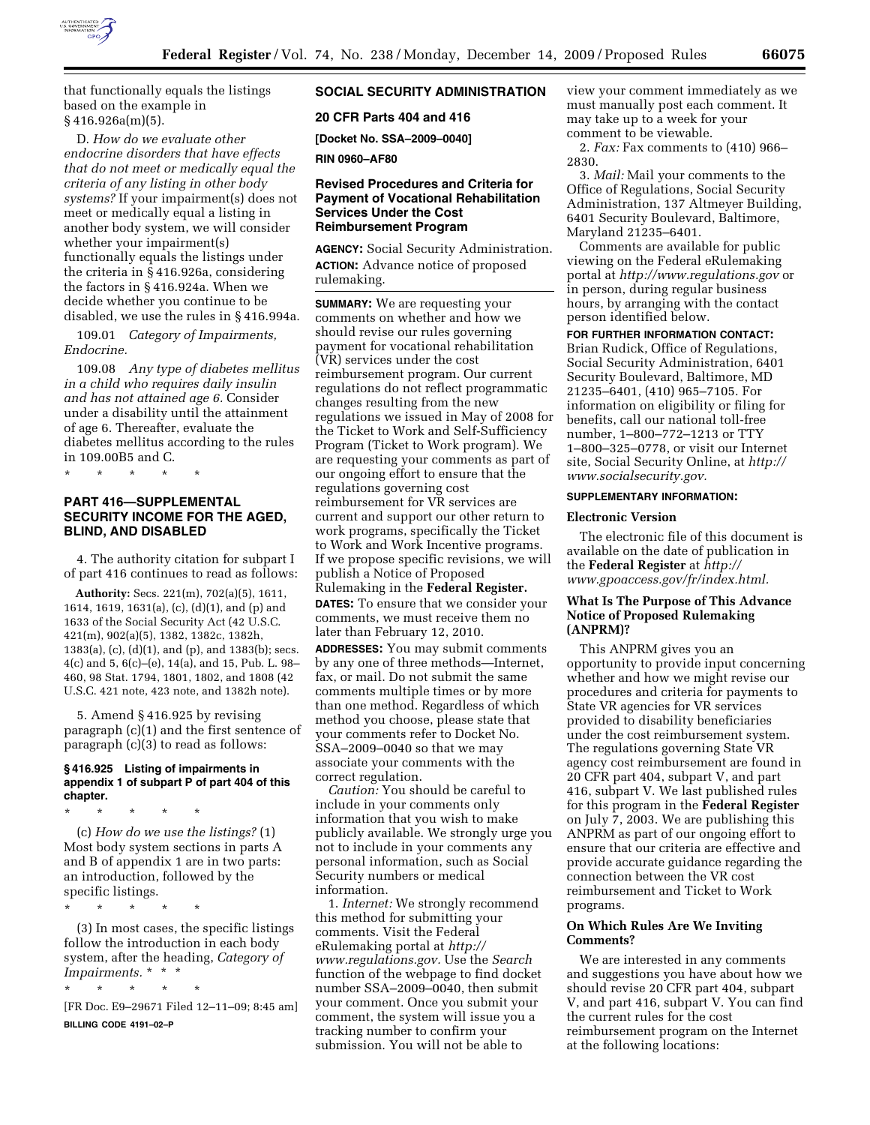

that functionally equals the listings based on the example in § 416.926a(m)(5).

D. *How do we evaluate other endocrine disorders that have effects that do not meet or medically equal the criteria of any listing in other body systems?* If your impairment(s) does not meet or medically equal a listing in another body system, we will consider whether your impairment(s) functionally equals the listings under the criteria in § 416.926a, considering the factors in § 416.924a. When we decide whether you continue to be disabled, we use the rules in § 416.994a.

109.01 *Category of Impairments, Endocrine.* 

109.08 *Any type of diabetes mellitus in a child who requires daily insulin and has not attained age 6.* Consider under a disability until the attainment of age 6. Thereafter, evaluate the diabetes mellitus according to the rules in 109.00B5 and C.

\* \* \* \* \*

# **PART 416—SUPPLEMENTAL SECURITY INCOME FOR THE AGED, BLIND, AND DISABLED**

4. The authority citation for subpart I of part 416 continues to read as follows:

**Authority:** Secs. 221(m), 702(a)(5), 1611, 1614, 1619, 1631(a), (c), (d)(1), and (p) and 1633 of the Social Security Act (42 U.S.C. 421(m), 902(a)(5), 1382, 1382c, 1382h, 1383(a), (c), (d)(1), and (p), and 1383(b); secs. 4(c) and 5, 6(c)–(e), 14(a), and 15, Pub. L. 98– 460, 98 Stat. 1794, 1801, 1802, and 1808 (42 U.S.C. 421 note, 423 note, and 1382h note).

5. Amend § 416.925 by revising paragraph (c)(1) and the first sentence of paragraph (c)(3) to read as follows:

#### **§ 416.925 Listing of impairments in appendix 1 of subpart P of part 404 of this chapter.**

\* \* \* \* \* (c) *How do we use the listings?* (1) Most body system sections in parts A and B of appendix 1 are in two parts: an introduction, followed by the specific listings.

\* \* \* \* \*

(3) In most cases, the specific listings follow the introduction in each body system, after the heading, *Category of Impairments.* \* \* \*

\* \* \* \* \*

[FR Doc. E9–29671 Filed 12–11–09; 8:45 am] **BILLING CODE 4191–02–P** 

## **SOCIAL SECURITY ADMINISTRATION**

## **20 CFR Parts 404 and 416**

**[Docket No. SSA–2009–0040]** 

**RIN 0960–AF80** 

## **Revised Procedures and Criteria for Payment of Vocational Rehabilitation Services Under the Cost Reimbursement Program**

**AGENCY:** Social Security Administration. **ACTION:** Advance notice of proposed rulemaking.

**SUMMARY:** We are requesting your comments on whether and how we should revise our rules governing payment for vocational rehabilitation (VR) services under the cost reimbursement program. Our current regulations do not reflect programmatic changes resulting from the new regulations we issued in May of 2008 for the Ticket to Work and Self-Sufficiency Program (Ticket to Work program). We are requesting your comments as part of our ongoing effort to ensure that the regulations governing cost reimbursement for VR services are current and support our other return to work programs, specifically the Ticket to Work and Work Incentive programs. If we propose specific revisions, we will publish a Notice of Proposed

Rulemaking in the **Federal Register.** 

**DATES:** To ensure that we consider your comments, we must receive them no later than February 12, 2010.

**ADDRESSES:** You may submit comments by any one of three methods—Internet, fax, or mail. Do not submit the same comments multiple times or by more than one method. Regardless of which method you choose, please state that your comments refer to Docket No. SSA–2009–0040 so that we may associate your comments with the correct regulation.

*Caution:* You should be careful to include in your comments only information that you wish to make publicly available. We strongly urge you not to include in your comments any personal information, such as Social Security numbers or medical information.

1. *Internet:* We strongly recommend this method for submitting your comments. Visit the Federal eRulemaking portal at *http:// www.regulations.gov.* Use the *Search*  function of the webpage to find docket number SSA–2009–0040, then submit your comment. Once you submit your comment, the system will issue you a tracking number to confirm your submission. You will not be able to

view your comment immediately as we must manually post each comment. It may take up to a week for your comment to be viewable.

2. *Fax:* Fax comments to (410) 966– 2830.

3. *Mail:* Mail your comments to the Office of Regulations, Social Security Administration, 137 Altmeyer Building, 6401 Security Boulevard, Baltimore, Maryland 21235–6401.

Comments are available for public viewing on the Federal eRulemaking portal at *http://www.regulations.gov* or in person, during regular business hours, by arranging with the contact person identified below.

**FOR FURTHER INFORMATION CONTACT:**  Brian Rudick, Office of Regulations, Social Security Administration, 6401 Security Boulevard, Baltimore, MD 21235–6401, (410) 965–7105. For information on eligibility or filing for benefits, call our national toll-free

number, 1–800–772–1213 or TTY 1–800–325–0778, or visit our Internet site, Social Security Online, at *http:// www.socialsecurity.gov.* 

### **SUPPLEMENTARY INFORMATION:**

### **Electronic Version**

The electronic file of this document is available on the date of publication in the **Federal Register** at *http:// www.gpoaccess.gov/fr/index.html.* 

## **What Is The Purpose of This Advance Notice of Proposed Rulemaking (ANPRM)?**

This ANPRM gives you an opportunity to provide input concerning whether and how we might revise our procedures and criteria for payments to State VR agencies for VR services provided to disability beneficiaries under the cost reimbursement system. The regulations governing State VR agency cost reimbursement are found in 20 CFR part 404, subpart V, and part 416, subpart V. We last published rules for this program in the **Federal Register**  on July 7, 2003. We are publishing this ANPRM as part of our ongoing effort to ensure that our criteria are effective and provide accurate guidance regarding the connection between the VR cost reimbursement and Ticket to Work programs.

# **On Which Rules Are We Inviting Comments?**

We are interested in any comments and suggestions you have about how we should revise 20 CFR part 404, subpart V, and part 416, subpart V. You can find the current rules for the cost reimbursement program on the Internet at the following locations: